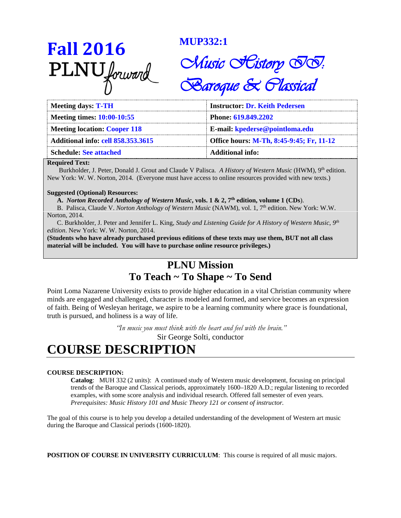**Fall** 2016<br> **PLNU** *forward MUP332:1*<br> *Chusic*<br> *Saroq* 

# Chusic *Scistory SS*. **Baroque & Classical**

| <b>Meeting days: T-TH</b>                 | <b>Instructor: Dr. Keith Pedersen</b>    |
|-------------------------------------------|------------------------------------------|
| Meeting times: 10:00-10:55                | Phone: 619.849.2202                      |
| <b>Meeting location: Cooper 118</b>       | E-mail: kpederse@pointloma.edu           |
| <b>Additional info: cell 858.353.3615</b> | Office hours: M-Th, 8:45-9:45; Fr, 11-12 |
| <b>Schedule: See attached</b>             | Additional info:                         |

#### **Required Text:**

Burkholder, J. Peter, Donald J. Grout and Claude V Palisca. *A History of Western Music* (HWM), 9th edition. New York: W. W. Norton, 2014. (Everyone must have access to online resources provided with new texts.)

#### **Suggested (Optional) Resources:**

**A.** *Norton Recorded Anthology of Western Music***, vols. 1 & 2, 7th edition, volume 1 (CDs**).

 B. Palisca, Claude V. *Norton Anthology of Western Music* (NAWM), vol. 1, 7th edition. New York: W.W. Norton, 2014.

 C. Burkholder, J. Peter and Jennifer L. King, *Study and Listening Guide for A History of Western Music*, *9th edition*. New York: W. W. Norton, 2014.

**(Students who have already purchased previous editions of these texts may use them, BUT not all class material will be included. You will have to purchase online resource privileges.)**

### **PLNU Mission**

### **To Teach ~ To Shape ~ To Send**

Point Loma Nazarene University exists to provide higher education in a vital Christian community where minds are engaged and challenged, character is modeled and formed, and service becomes an expression of faith. Being of Wesleyan heritage, we aspire to be a learning community where grace is foundational, truth is pursued, and holiness is a way of life.

> *"In music you must think with the heart and feel with the brain."* Sir George Solti, conductor

## **COURSE DESCRIPTION**

#### **COURSE DESCRIPTION:**

**Catalog**: MUH 332 (2 units): A continued study of Western music development, focusing on principal trends of the Baroque and Classical periods, approximately 1600–1820 A.D.; regular listening to recorded examples, with some score analysis and individual research. Offered fall semester of even years. *Prerequisites: Music History 101 and Music Theory 121 or consent of instructor.*

The goal of this course is to help you develop a detailed understanding of the development of Western art music during the Baroque and Classical periods (1600-1820).

**POSITION OF COURSE IN UNIVERSITY CURRICULUM**: This course is required of all music majors.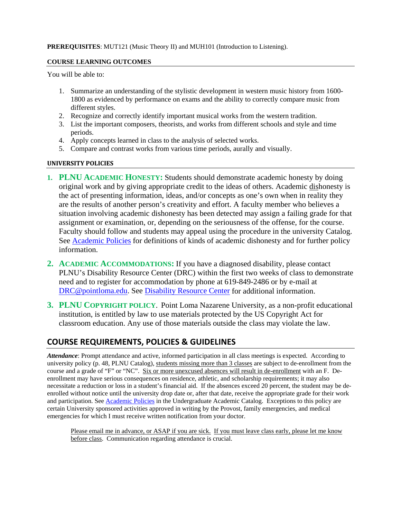#### **COURSE LEARNING OUTCOMES**

You will be able to:

- 1. Summarize an understanding of the stylistic development in western music history from 1600- 1800 as evidenced by performance on exams and the ability to correctly compare music from different styles.
- 2. Recognize and correctly identify important musical works from the western tradition.
- 3. List the important composers, theorists, and works from different schools and style and time periods.
- 4. Apply concepts learned in class to the analysis of selected works.
- 5. Compare and contrast works from various time periods, aurally and visually.

#### **UNIVERSITY POLICIES**

- **1. PLNU ACADEMIC HONESTY:** Students should demonstrate academic honesty by doing original work and by giving appropriate credit to the ideas of others. Academic dishonesty is the act of presenting information, ideas, and/or concepts as one's own when in reality they are the results of another person's creativity and effort. A faculty member who believes a situation involving academic dishonesty has been detected may assign a failing grade for that assignment or examination, or, depending on the seriousness of the offense, for the course. Faculty should follow and students may appeal using the procedure in the university Catalog. See [Academic Policies](http://catalog.pointloma.edu/content.php?catoid=18&navoid=1278) for definitions of kinds of academic dishonesty and for further policy information.
- **2. ACADEMIC ACCOMMODATIONS:** If you have a diagnosed disability, please contact PLNU's Disability Resource Center (DRC) within the first two weeks of class to demonstrate need and to register for accommodation by phone at 619-849-2486 or by e-mail at [DRC@pointloma.edu.](mailto:DRC@pointloma.edu) See [Disability Resource Center](http://www.pointloma.edu/experience/offices/administrative-offices/academic-advising-office/disability-resource-center) for additional information.
- **3. PLNU COPYRIGHT POLICY**. Point Loma Nazarene University, as a non-profit educational institution, is entitled by law to use materials protected by the US Copyright Act for classroom education. Any use of those materials outside the class may violate the law.

#### **COURSE REQUIREMENTS, POLICIES & GUIDELINES**

*Attendance*: Prompt attendance and active, informed participation in all class meetings is expected. According to university policy (p. 48, PLNU Catalog), students missing more than 3 classes are subject to de-enrollment from the course and a grade of "F" or "NC". Six or more unexcused absences will result in de-enrollment with an F. Deenrollment may have serious consequences on residence, athletic, and scholarship requirements; it may also necessitate a reduction or loss in a student's financial aid. If the absences exceed 20 percent, the student may be deenrolled without notice until the university drop date or, after that date, receive the appropriate grade for their work and participation. Se[e Academic Policies](http://catalog.pointloma.edu/content.php?catoid=18&navoid=1278) in the Undergraduate Academic Catalog. Exceptions to this policy are certain University sponsored activities approved in writing by the Provost, family emergencies, and medical emergencies for which I must receive written notification from your doctor.

Please email me in advance, or ASAP if you are sick. If you must leave class early, please let me know before class. Communication regarding attendance is crucial.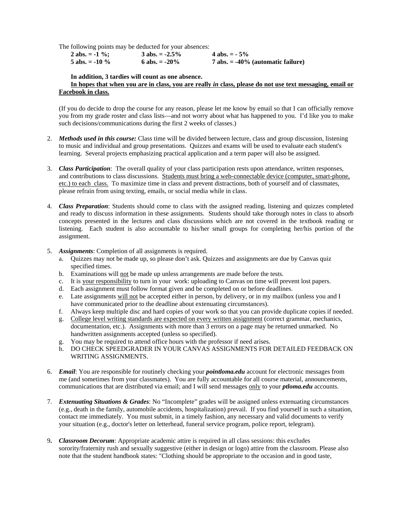The following points may be deducted for your absences:

| 2 abs. = $-1\%$ ; | $3$ abs. $= -2.5\%$ | 4 abs. $= -5\%$                        |
|-------------------|---------------------|----------------------------------------|
| 5 abs. $= -10\%$  | 6 abs. $= -20\%$    | $7$ abs. $= -40\%$ (automatic failure) |

**In addition, 3 tardies will count as one absence.**

#### **In hopes that when you are in class, you are really** *in* **class, please do not use text messaging, email or Facebook in class.**

(If you do decide to drop the course for any reason, please let me know by email so that I can officially remove you from my grade roster and class lists—and not worry about what has happened to you. I'd like you to make such decisions/communications during the first 2 weeks of classes.)

- 2. *Methods used in this course:* Class time will be divided between lecture, class and group discussion, listening to music and individual and group presentations. Quizzes and exams will be used to evaluate each student's learning. Several projects emphasizing practical application and a term paper will also be assigned.
- 3. *Class Participation*: The overall quality of your class participation rests upon attendance, written responses, and contributions to class discussions. Students must bring a web-connectable device (computer, smart-phone, etc.) to each class. To maximize time in class and prevent distractions, both of yourself and of classmates, please refrain from using texting, emails, or social media while in class.
- 4. *Class Preparation*: Students should come to class with the assigned reading, listening and quizzes completed and ready to discuss information in these assignments. Students should take thorough notes in class to absorb concepts presented in the lectures and class discussions which are not covered in the textbook reading or listening. Each student is also accountable to his/her small groups for completing her/his portion of the assignment.
- 5. *Assignments*: Completion of all assignments is required.
	- a. Quizzes may not be made up, so please don't ask. Quizzes and assignments are due by Canvas quiz specified times.
	- b. Examinations will not be made up unless arrangements are made before the tests.
	- c. It is your responsibility to turn in your work: uploading to Canvas on time will prevent lost papers.
	- d. Each assignment must follow format given and be completed on or before deadlines.
	- e. Late assignments will not be accepted either in person, by delivery, or in my mailbox (unless you and I have communicated prior to the deadline about extenuating circumstances).
	- f. Always keep multiple disc and hard copies of your work so that you can provide duplicate copies if needed.
	- g. College level writing standards are expected on every written assignment (correct grammar, mechanics, documentation, etc.). Assignments with more than 3 errors on a page may be returned unmarked. No handwritten assignments accepted (unless so specified).
	- g. You may be required to attend office hours with the professor if need arises.
	- h. DO CHECK SPEEDGRADER IN YOUR CANVAS ASSIGNMENTS FOR DETAILED FEEDBACK ON WRITING ASSIGNMENTS.
- 6. *Email*: You are responsible for routinely checking your *pointloma.edu* account for electronic messages from me (and sometimes from your classmates). You are fully accountable for all course material, announcements, communications that are distributed via email; and I will send messages only to your *ptloma.edu* accounts.
- 7. *Extenuating Situations & Grades*: No "Incomplete" grades will be assigned unless extenuating circumstances (e.g., death in the family, automobile accidents, hospitalization) prevail. If you find yourself in such a situation, contact me immediately. You must submit, in a timely fashion, any necessary and valid documents to verify your situation (e.g., doctor's letter on letterhead, funeral service program, police report, telegram).
- 9**.** *Classroom Decorum*: Appropriate academic attire is required in all class sessions: this excludes sorority/fraternity rush and sexually suggestive (either in design or logo) attire from the classroom. Please also note that the student handbook states: "Clothing should be appropriate to the occasion and in good taste,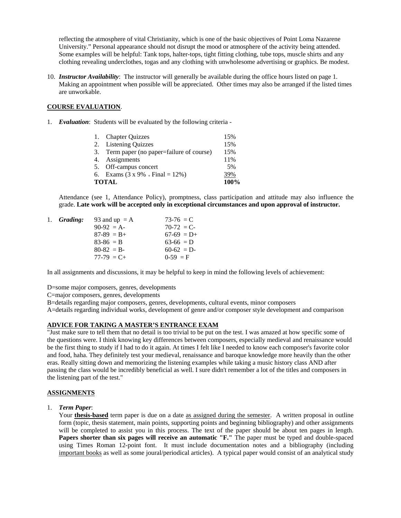reflecting the atmosphere of vital Christianity, which is one of the basic objectives of Point Loma Nazarene University." Personal appearance should not disrupt the mood or atmosphere of the activity being attended. Some examples will be helpful: Tank tops, halter-tops, tight fitting clothing, tube tops, muscle shirts and any clothing revealing underclothes, togas and any clothing with unwholesome advertising or graphics. Be modest.

10. *Instructor Availability*: The instructor will generally be available during the office hours listed on page 1. Making an appointment when possible will be appreciated. Other times may also be arranged if the listed times are unworkable.

#### **COURSE EVALUATION**.

1. *Evaluation*: Students will be evaluated by the following criteria -

|              | 1. Chapter Quizzes                         | 15%  |
|--------------|--------------------------------------------|------|
|              | 2. Listening Quizzes                       | 15%  |
|              | 3. Term paper (no paper=failure of course) | 15%  |
|              | 4. Assignments                             | 11%  |
|              | 5. Off-campus concert                      | 5%   |
|              | 6. Exams $(3 \times 9\% + Final = 12\%)$   | 39%  |
| <b>TOTAL</b> |                                            | 100% |

Attendance (see 1, Attendance Policy), promptness, class participation and attitude may also influence the grade. **Late work will be accepted only in exceptional circumstances and upon approval of instructor.**

| 1. Grading: | 93 and up $= A$ | $73-76 = C$  |
|-------------|-----------------|--------------|
|             | $90-92 = A$     | $70-72 = C$  |
|             | $87-89 = B +$   | $67-69$ = D+ |
|             | $83-86 = B$     | $63-66 = D$  |
|             | $80-82 = B$     | $60-62$ = D- |
|             | $77-79 = C +$   | $0-59 = F$   |
|             |                 |              |

In all assignments and discussions, it may be helpful to keep in mind the following levels of achievement:

D=some major composers, genres, developments

C=major composers, genres, developments

B=details regarding major composers, genres, developments, cultural events, minor composers

A=details regarding individual works, development of genre and/or composer style development and comparison

#### **ADVICE FOR TAKING A MASTER'S ENTRANCE EXAM**

"Just make sure to tell them that no detail is too trivial to be put on the test. I was amazed at how specific some of the questions were. I think knowing key differences between composers, especially medieval and renaissance would be the first thing to study if I had to do it again. At times I felt like I needed to know each composer's favorite color and food, haha. They definitely test your medieval, renaissance and baroque knowledge more heavily than the other eras. Really sitting down and memorizing the listening examples while taking a music history class AND after passing the class would be incredibly beneficial as well. I sure didn't remember a lot of the titles and composers in the listening part of the test."

#### **ASSIGNMENTS**

1. *Term Paper*:

Your **thesis-based** term paper is due on a date as assigned during the semester. A written proposal in outline form (topic, thesis statement, main points, supporting points and beginning bibliography) and other assignments will be completed to assist you in this process. The text of the paper should be about ten pages in length. Papers shorter than six pages will receive an automatic "F." The paper must be typed and double-spaced using Times Roman 12-point font. It must include documentation notes and a bibliography (including important books as well as some joural/periodical articles). A typical paper would consist of an analytical study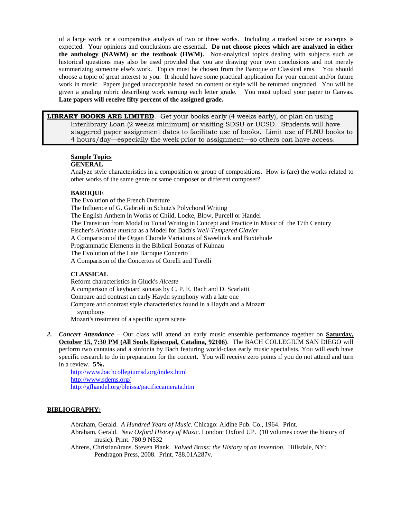of a large work or a comparative analysis of two or three works. Including a marked score or excerpts is expected. Your opinions and conclusions are essential. **Do not choose pieces which are analyzed in either the anthology (NAWM) or the textbook (HWM).** Non-analytical topics dealing with subjects such as historical questions may also be used provided that you are drawing your own conclusions and not merely summarizing someone else's work. Topics must be chosen from the Baroque or Classical eras. You should choose a topic of great interest to you. It should have some practical application for your current and/or future work in music. Papers judged unacceptable based on content or style will be returned ungraded. You will be given a grading rubric describing work earning each letter grade. You must upload your paper to Canvas. **Late papers will receive fifty percent of the assigned grade.**

**LIBRARY BOOKS ARE LIMITED**. Get your books early (4 weeks early), or plan on using Interlibrary Loan (2 weeks minimum) or visiting SDSU or UCSD. Students will have staggered paper assignment dates to facilitate use of books. Limit use of PLNU books to 4 hours/day—especially the week prior to assignment—so others can have access.

#### **Sample Topics**

#### **GENERAL**

Analyze style characteristics in a composition or group of compositions. How is (are) the works related to other works of the same genre or same composer or different composer?

#### **BAROQUE**

The Evolution of the French Overture The Influence of G. Gabrieli in Schutz's Polychoral Writing The English Anthem in Works of Child, Locke, Blow, Purcell or Handel The Transition from Modal to Tonal Writing in Concept and Practice in Music of the 17th Century Fischer's *Ariadne musica* as a Model for Bach's *Well-Tempered Clavier* A Comparison of the Organ Chorale Variations of Sweelinck and Buxtehude Programmatic Elements in the Biblical Sonatas of Kuhnau The Evolution of the Late Baroque Concerto A Comparison of the Concertos of Corelli and Torelli

#### **CLASSICAL**

Reform characteristics in Gluck's *Alceste* A comparison of keyboard sonatas by C. P. E. Bach and D. Scarlatti Compare and contrast an early Haydn symphony with a late one Compare and contrast style characteristics found in a Haydn and a Mozart symphony Mozart's treatment of a specific opera scene

*2. Concert Attendance* – Our class will attend an early music ensemble performance together on **Saturday, October 15, 7:30 PM (All Souls Episcopal, Catalina, 92106)**. The BACH COLLEGIUM SAN DIEGO will perform two cantatas and a sinfonia by Bach featuring world-class early music specialists. You will each have specific research to do in preparation for the concert. You will receive zero points if you do not attend and turn in a review. **5%.**

<http://www.bachcollegiumsd.org/index.html> <http://www.sdems.org/> <http://gfhandel.org/bleissa/pacificcamerata.htm>

#### **BIBLIOGRAPHY:**

Abraham, Gerald. *A Hundred Years of Music*. Chicago: Aldine Pub. Co., 1964. Print.

- Abraham, Gerald. *New Oxford History of Music*. London: Oxford UP. (10 volumes cover the history of music). Print. 780.9 N532
- Ahrens, Christian/trans. Steven Plank. *Valved Brass: the History of an Invention.* Hillsdale, NY: Pendragon Press, 2008. Print. 788.01A287v.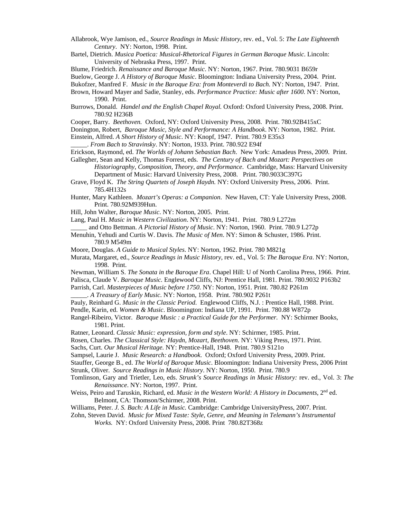- Allabrook, Wye Jamison, ed., *Source Readings in Music History*, rev. ed., Vol. 5: *The Late Eighteenth Century*. NY: Norton, 1998. Print.
- Bartel, Dietrich. *Musica Poetica: Musical-Rhetorical Figures in German Baroque Music*. Lincoln: University of Nebraska Press, 1997. Print.
- Blume, Friedrich. *Renaissance and Baroque Music*. NY: Norton, 1967. Print. 780.9031 B659r
- Buelow, George J. *A History of Baroque Music*. Bloomington: Indiana University Press, 2004. Print.
- Bukofzer, Manfred F. *Music in the Baroque Era: from Monteverdi to Bach.* NY: Norton, 1947. Print.
- Brown, Howard Mayer and Sadie, Stanley, eds. *Performance Practice: Music after 1600*. NY: Norton, 1990. Print.
- Burrows, Donald. *Handel and the English Chapel Royal.* Oxford: Oxford University Press, 2008. Print. 780.92 H236B
- Cooper, Barry. *Beethoven.* Oxford, NY: Oxford University Press, 2008. Print. 780.92B415xC
- Donington, Robert, *Baroque Music, Style and Performance: A Handbook*. NY: Norton, 1982. Print.
- Einstein, Alfred. *A Short History of Music*. NY: Knopf, 1947. Print. 780.9 E35s3
- \_\_\_\_\_. *From Bach to Stravinsky*. NY: Norton, 1933. Print. 780.922 E94f
- Erickson, Raymond, ed. *The Worlds of Johann Sebastian Bach*. New York: Amadeus Press, 2009. Print.
- Gallegher, Sean and Kelly, Thomas Forrest, eds. *The Century of Bach and Mozart: Perspectives on Historiography, Composition, Theory, and Performance*. Cambridge, Mass: Harvard University
	- Department of Music: Harvard University Press, 2008. Print. 780.9033C397G
- Grave, Floyd K. *The String Quartets of Joseph Haydn.* NY: Oxford University Press, 2006. Print. 785.4H132s
- Hunter, Mary Kathleen. *Mozart's Operas: a Companion*. New Haven, CT: Yale University Press, 2008. Print. 780.92M939Hun.
- Hill, John Walter, *Baroque Music*. NY: Norton, 2005. Print.
- Lang, Paul H. *Music in Western Civilization*. NY: Norton, 1941. Print. 780.9 L272m
- \_\_\_\_\_ and Otto Bettman. *A Pictorial History of Music*. NY: Norton, 1960. Print. 780.9 L272p
- Menuhin, Yehudi and Curtis W. Davis. *The Music of Men*. NY: Simon & Schuster, 1986. Print. 780.9 M549m
- Moore, Douglas. *A Guide to Musical Styles*. NY: Norton, 1962. Print. 780 M821g
- Murata, Margaret, ed., *Source Readings in Music History*, rev. ed., Vol. 5: *The Baroque Era*. NY: Norton, 1998. Print.
- Newman, William S. *The Sonata in the Baroque Era*. Chapel Hill: U of North Carolina Press, 1966. Print.
- Palisca, Claude V. *Baroque Music.* Englewood Cliffs, NJ: Prentice Hall, 1981. Print. 780.9032 P163b2
- Parrish, Carl. *Masterpieces of Music before 1750*. NY: Norton, 1951. Print. 780.82 P261m
- \_\_\_\_\_. *A Treasury of Early Music*. NY: Norton, 1958. Print. 780.902 P261t
- Pauly, Reinhard G. *Music in the Classic Period*. Englewood Cliffs, N.J. : Prentice Hall, 1988. Print.
- Pendle, Karin, ed. *Women & Music*. Bloomington: Indiana UP, 1991. Print. 780.88 W872p
- Rangel-Ribeiro, Victor. *Baroque Music : a Practical Guide for the Performer.* NY: Schirmer Books, 1981. Print.
- Ratner, Leonard. *Classic Music: expression, form and style*. NY: Schirmer, 1985. Print.
- Rosen, Charles. *The Classical Style: Haydn, Mozart, Beethoven.* NY: Viking Press, 1971. Print.
- Sachs, Curt. *Our Musical Heritage.* NY: Prentice-Hall, 1948. Print. 780.9 S121o
- Sampsel, Laurie J. *Music Research: a Handbook*. Oxford; Oxford University Press, 2009. Print.
- Stauffer, George B., ed. *The World of Baroque Music*. Bloomington: Indiana University Press, 2006 Print
- Strunk, Oliver. *Source Readings in Music History*. NY: Norton, 1950. Print. 780.9
- Tomlinson, Gary and Trietler, Leo, eds. *Strunk's Source Readings in Music History:* rev. ed., Vol. 3: *The Renaissance*. NY: Norton, 1997. Print.
- Weiss, Peiro and Taruskin, Richard, ed. *Music in the Western World: A History in Documents*, 2nd ed. Belmont, CA: Thomson/Schirmer, 2008. Print.
- Williams, Peter. *J. S. Bach: A Life in Music.* Cambridge: Cambridge UniversityPress, 2007. Print.
- Zohn, Steven David. *Music for Mixed Taste: Style, Genre, and Meaning in Telemann's Instrumental Works.* NY: Oxford University Press, 2008. Print 780.82T368z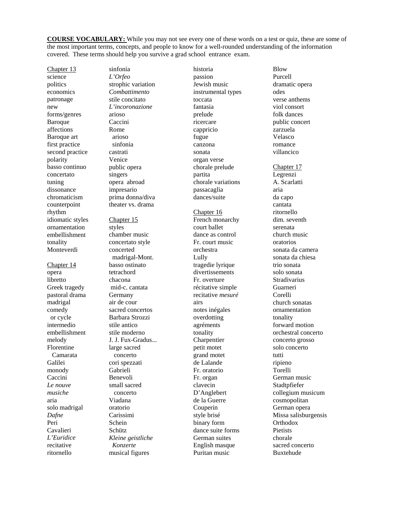**COURSE VOCABULARY:** While you may not see every one of these words on a test or quiz, these are some of the most important terms, concepts, and people to know for a well-rounded understanding of the information covered. These terms should help you survive a grad school entrance exam.

Chapter 13 science politics economics patronage new forms/genres Baroque affections Baroque art first practice second practice polarity basso continuo concertato tuning dissonance chromaticism counterpoint rhythm idiomatic styles ornamentation embellishment tonality Monteverdi

Chapter 14 opera libretto Greek tragedy pastoral drama madrigal comedy or cycle intermedio embellishment melody Florentine Camarata Galilei monody Caccini *Le nouve musiche* aria solo madrigal *Dafne* Peri Cavalieri *L'Euridice* recitative ritornello

sinfonia *L'Orfeo* strophic variation *Combattimento* stile concitato *L'incoronazione* arioso Caccini Rome arioso sinfonia castrati Venice public opera singers opera abroad impresario prima donna/diva theater vs. drama Chapter 15 styles chamber music

concertato style concerted madrigal-Mont. basso ostinato tetrachord chacona mid-c. cantata Germany air de cour sacred concertos Barbara Strozzi stile antico stile moderno J. J. Fux-Gradus... large sacred concerto cori spezzati Gabrieli Benevoli small sacred concerto Viadana oratorio Carissimi Schein Schütz *Kleine geistliche Konzerte* musical figures

historia passion Jewish music instrumental types toccata fantasia prelude ricercare cappricio fugue canzona sonata organ verse chorale prelude partita chorale variations passacaglia dances/suite Chapter 16 French monarchy court ballet dance as control Fr. court music orchestra Lully tragedie lyrique divertissements Fr. overture récitative simple recitative *mesuré* airs notes inégales overdotting agréments tonality Charpentier petit motet grand motet de Lalande Fr. oratorio Fr. organ clavecin D'Anglebert de la Guerre Couperin style brisé binary form dance suite forms German suites English masque Puritan music

Blow Purcell dramatic opera odes verse anthems viol consort folk dances public concert zarzuela Velasco romance villancico Chapter 17 Legrenzi A. Scarlatti aria da capo cantata ritornello dim. seventh serenata church music oratorios sonata da camera sonata da chiesa trio sonata solo sonata Stradivarius Guarneri Corelli church sonatas ornamentation tonality forward motion orchestral concerto concerto grosso solo concerto tutti ripieno Torelli German music Stadtpfiefer collegium musicum cosmopolitan German opera Missa salisburgensis **Orthodox Pietists** chorale sacred concerto Buxtehude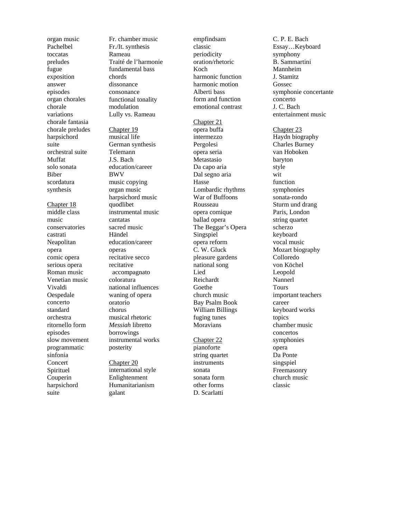organ music Pachelbel toccatas preludes fugue exposition answer episodes organ chorales chorale variations chorale fantasia chorale preludes harpsichord suite orchestral suite Muffat solo sonata Biber scordatura synthesis

Chapter 18 middle class music conservatories castrati Neapolitan opera comic opera serious opera Roman music Venetian music Vivaldi Oespedale concerto standard orchestra ritornello form episodes slow movement programmatic sinfonia **Concert** Spirituel Couperin harpsichord suite

Fr. chamber music Fr./It. synthesis Rameau Traité de l'harmonie fundamental bass chords dissonance consonance functional tonality modulation Lully vs. Rameau

Chapter 19 musical life German synthesis Telemann J.S. Bach education/caree r BWV music copying organ music harpsichord music quodlibet instrumental music cantatas sacred music Händel education/career operas recitative secco recitative accompagnato coloratura national influences waning of opera oratorio chorus musical rhetoric *Messiah* libretto borrowings instrumental works posterity

Chapter 20 international style Enlightenment Humanitarianism galant

empfindsam classic periodicity oration/rhetoric Koch harmonic function harmonic motion Alberti bass form and function emotional contrast Chapter 21 opera buffa intermezzo Pergolesi opera seria Metastasio Da capo aria Dal segno aria Hasse Lombardic rhythms War of Buffoons Rousseau opera comique ballad opera The Beggar's Opera Singspiel opera reform C. W. Gluck pleasure gardens national song Lied Reichardt Goethe church music Bay Psalm Book William Billings fuging tunes Moravians Chapter 22

pianoforte string quartet instruments sonata sonata form other forms D. Scarlatti

C. P. E. Bach Essay…Keyboard symphony B. Sammartini Mannheim J. Stamitz Gossec symphonie concertante concerto J. C. Bach entertainment music Chapter 23 Haydn biography Charles Burney van Hoboken baryton style wit function symphonies sonata -rondo Sturm und drang Paris, London string quartet scherzo keyboard vocal music Mozart biography Colloredo von Köchel Leopold Nannerl Tours important teachers career keyboard works topics chamber music concertos symphonies opera Da Ponte singspiel Freemasonry church music classic